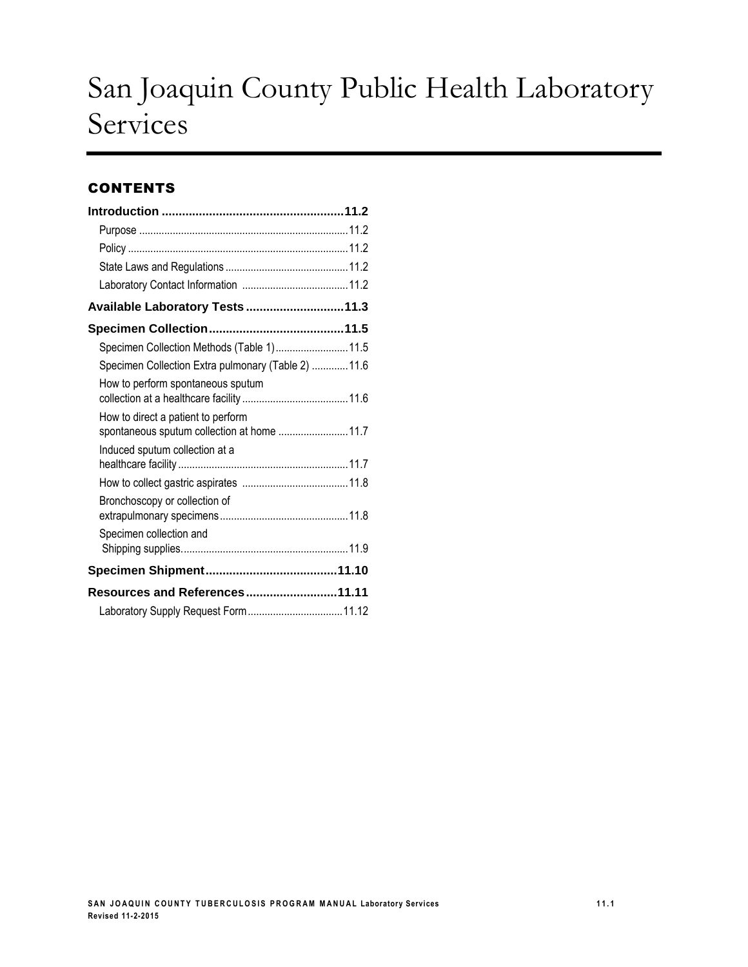# San Joaquin County Public Health Laboratory Services

### **CONTENTS**

| Available Laboratory Tests 11.3                                                   |  |
|-----------------------------------------------------------------------------------|--|
|                                                                                   |  |
| Specimen Collection Methods (Table 1) 11.5                                        |  |
| Specimen Collection Extra pulmonary (Table 2)  11.6                               |  |
| How to perform spontaneous sputum                                                 |  |
| How to direct a patient to perform<br>spontaneous sputum collection at home  11.7 |  |
| Induced sputum collection at a                                                    |  |
|                                                                                   |  |
| Bronchoscopy or collection of                                                     |  |
| Specimen collection and                                                           |  |
|                                                                                   |  |
| <b>Resources and References 11.11</b>                                             |  |
|                                                                                   |  |
|                                                                                   |  |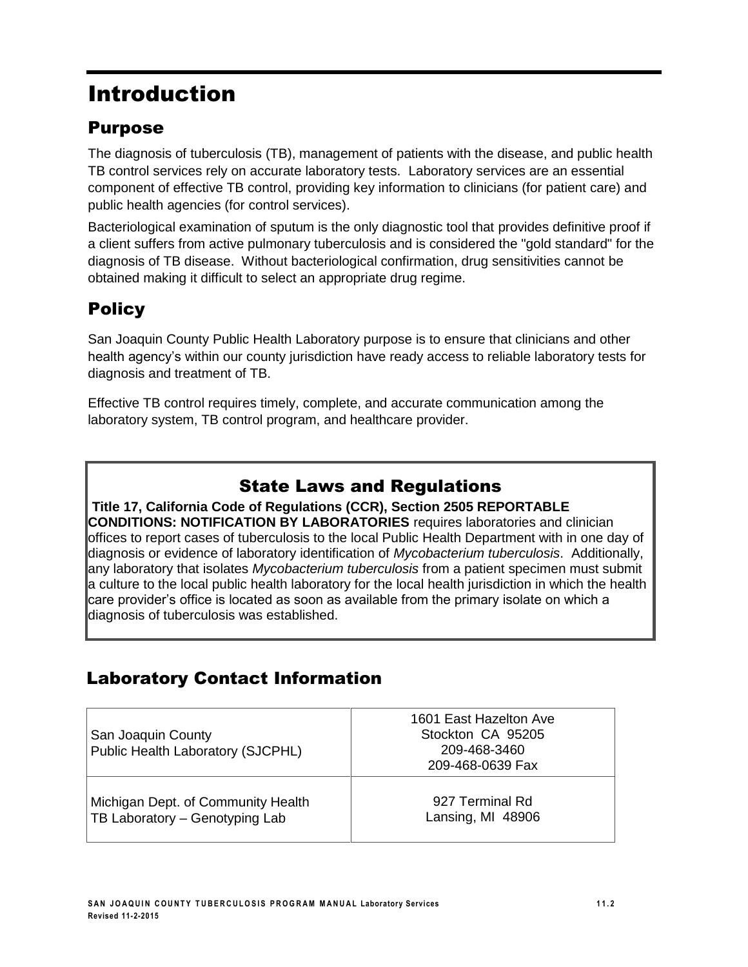# Introduction

## Purpose

The diagnosis of tuberculosis (TB), management of patients with the disease, and public health TB control services rely on accurate laboratory tests. Laboratory services are an essential component of effective TB control, providing key information to clinicians (for patient care) and public health agencies (for control services).

Bacteriological examination of sputum is the only diagnostic tool that provides definitive proof if a client suffers from active pulmonary tuberculosis and is considered the "gold standard" for the diagnosis of TB disease. Without bacteriological confirmation, drug sensitivities cannot be obtained making it difficult to select an appropriate drug regime.

## **Policy**

San Joaquin County Public Health Laboratory purpose is to ensure that clinicians and other health agency's within our county jurisdiction have ready access to reliable laboratory tests for diagnosis and treatment of TB.

Effective TB control requires timely, complete, and accurate communication among the laboratory system, TB control program, and healthcare provider.

### State Laws and Regulations

**Title 17, California Code of Regulations (CCR), Section 2505 REPORTABLE CONDITIONS: NOTIFICATION BY LABORATORIES** requires laboratories and clinician offices to report cases of tuberculosis to the local Public Health Department with in one day of diagnosis or evidence of laboratory identification of *Mycobacterium tuberculosis*. Additionally, any laboratory that isolates *Mycobacterium tuberculosis* from a patient specimen must submit a culture to the local public health laboratory for the local health jurisdiction in which the health care provider's office is located as soon as available from the primary isolate on which a diagnosis of tuberculosis was established.

## Laboratory Contact Information

| San Joaquin County<br>Public Health Laboratory (SJCPHL) | 1601 East Hazelton Ave<br>Stockton CA 95205<br>209-468-3460<br>209-468-0639 Fax |
|---------------------------------------------------------|---------------------------------------------------------------------------------|
| Michigan Dept. of Community Health                      | 927 Terminal Rd                                                                 |
| TB Laboratory - Genotyping Lab                          | Lansing, MI 48906                                                               |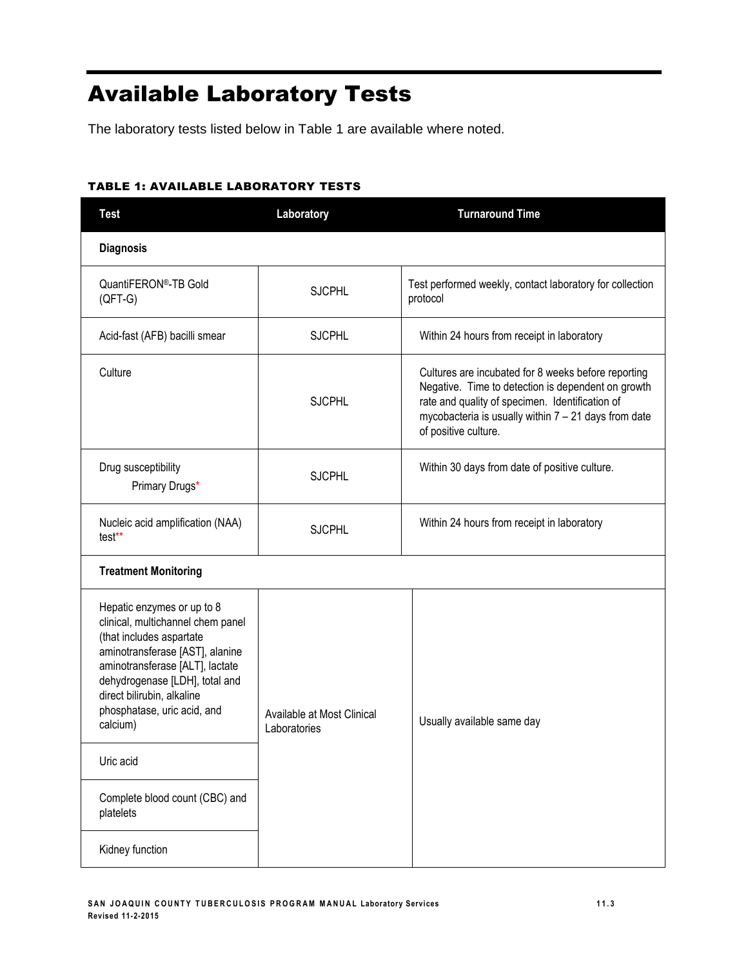# Available Laboratory Tests

The laboratory tests listed below in Table 1 are available where noted.

#### TABLE 1: AVAILABLE LABORATORY TESTS

| <b>Test</b>                                                                                                                                                                                                                                                                  | Laboratory                                 | <b>Turnaround Time</b>                                                                                                                                                                                                                         |  |  |  |
|------------------------------------------------------------------------------------------------------------------------------------------------------------------------------------------------------------------------------------------------------------------------------|--------------------------------------------|------------------------------------------------------------------------------------------------------------------------------------------------------------------------------------------------------------------------------------------------|--|--|--|
| <b>Diagnosis</b>                                                                                                                                                                                                                                                             |                                            |                                                                                                                                                                                                                                                |  |  |  |
| QuantiFERON®-TB Gold<br>$(QFT-G)$                                                                                                                                                                                                                                            | <b>SJCPHL</b>                              | Test performed weekly, contact laboratory for collection<br>protocol                                                                                                                                                                           |  |  |  |
| Acid-fast (AFB) bacilli smear                                                                                                                                                                                                                                                | <b>SJCPHL</b>                              | Within 24 hours from receipt in laboratory                                                                                                                                                                                                     |  |  |  |
| Culture                                                                                                                                                                                                                                                                      | <b>SJCPHL</b>                              | Cultures are incubated for 8 weeks before reporting<br>Negative. Time to detection is dependent on growth<br>rate and quality of specimen. Identification of<br>mycobacteria is usually within $7 - 21$ days from date<br>of positive culture. |  |  |  |
| Drug susceptibility<br>Primary Drugs*                                                                                                                                                                                                                                        | <b>SJCPHL</b>                              | Within 30 days from date of positive culture.                                                                                                                                                                                                  |  |  |  |
| Nucleic acid amplification (NAA)<br>test**                                                                                                                                                                                                                                   | <b>SJCPHL</b>                              | Within 24 hours from receipt in laboratory                                                                                                                                                                                                     |  |  |  |
| <b>Treatment Monitoring</b>                                                                                                                                                                                                                                                  |                                            |                                                                                                                                                                                                                                                |  |  |  |
| Hepatic enzymes or up to 8<br>clinical, multichannel chem panel<br>(that includes aspartate<br>aminotransferase [AST], alanine<br>aminotransferase [ALT], lactate<br>dehydrogenase [LDH], total and<br>direct bilirubin, alkaline<br>phosphatase, uric acid, and<br>calcium) | Available at Most Clinical<br>Laboratories | Usually available same day                                                                                                                                                                                                                     |  |  |  |
| Uric acid                                                                                                                                                                                                                                                                    |                                            |                                                                                                                                                                                                                                                |  |  |  |
| Complete blood count (CBC) and<br>platelets                                                                                                                                                                                                                                  |                                            |                                                                                                                                                                                                                                                |  |  |  |
| Kidney function                                                                                                                                                                                                                                                              |                                            |                                                                                                                                                                                                                                                |  |  |  |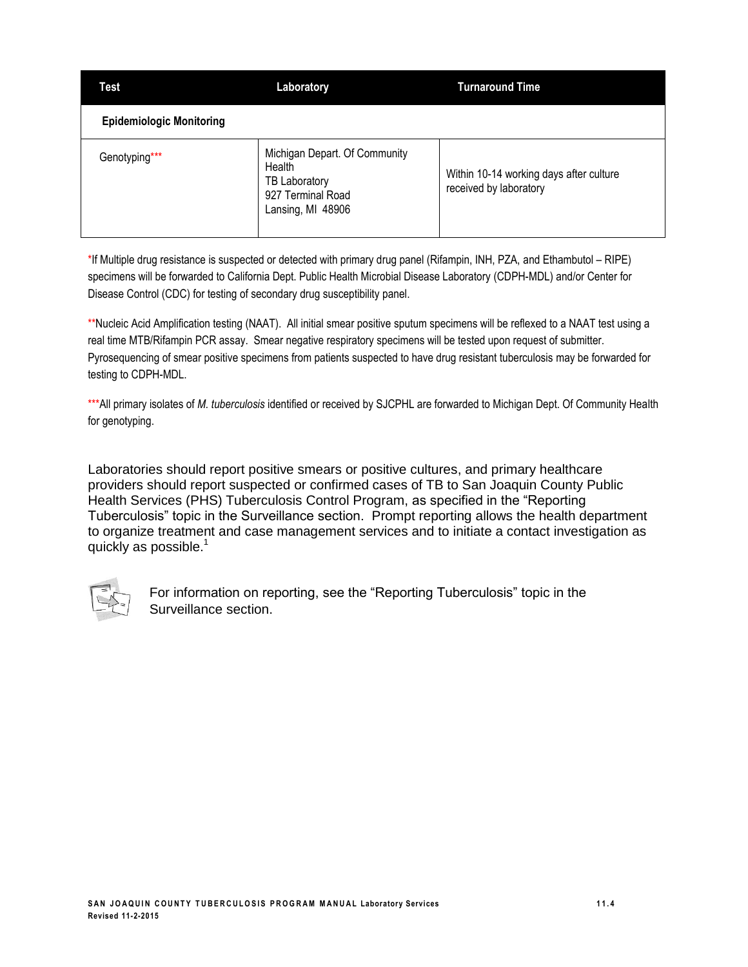| <b>Laboratory</b><br>Test       |                                                                                                    | <b>Turnaround Time</b>                                            |  |
|---------------------------------|----------------------------------------------------------------------------------------------------|-------------------------------------------------------------------|--|
| <b>Epidemiologic Monitoring</b> |                                                                                                    |                                                                   |  |
| Genotyping***                   | Michigan Depart. Of Community<br>Health<br>TB Laboratory<br>927 Terminal Road<br>Lansing, MI 48906 | Within 10-14 working days after culture<br>received by laboratory |  |

\*If Multiple drug resistance is suspected or detected with primary drug panel (Rifampin, INH, PZA, and Ethambutol – RIPE) specimens will be forwarded to California Dept. Public Health Microbial Disease Laboratory (CDPH-MDL) and/or Center for Disease Control (CDC) for testing of secondary drug susceptibility panel.

\*\*Nucleic Acid Amplification testing (NAAT). All initial smear positive sputum specimens will be reflexed to a NAAT test using a real time MTB/Rifampin PCR assay. Smear negative respiratory specimens will be tested upon request of submitter. Pyrosequencing of smear positive specimens from patients suspected to have drug resistant tuberculosis may be forwarded for testing to CDPH-MDL.

\*\*\*All primary isolates of *M. tuberculosis* identified or received by SJCPHL are forwarded to Michigan Dept. Of Community Health for genotyping.

Laboratories should report positive smears or positive cultures, and primary healthcare providers should report suspected or confirmed cases of TB to San Joaquin County Public Health Services (PHS) Tuberculosis Control Program, as specified in the "Reporting Tuberculosis" topic in the Surveillance section. Prompt reporting allows the health department to organize treatment and case management services and to initiate a contact investigation as quickly as possible. $<sup>1</sup>$ </sup>



For information on reporting, see the "Reporting Tuberculosis" topic in the Surveillance section.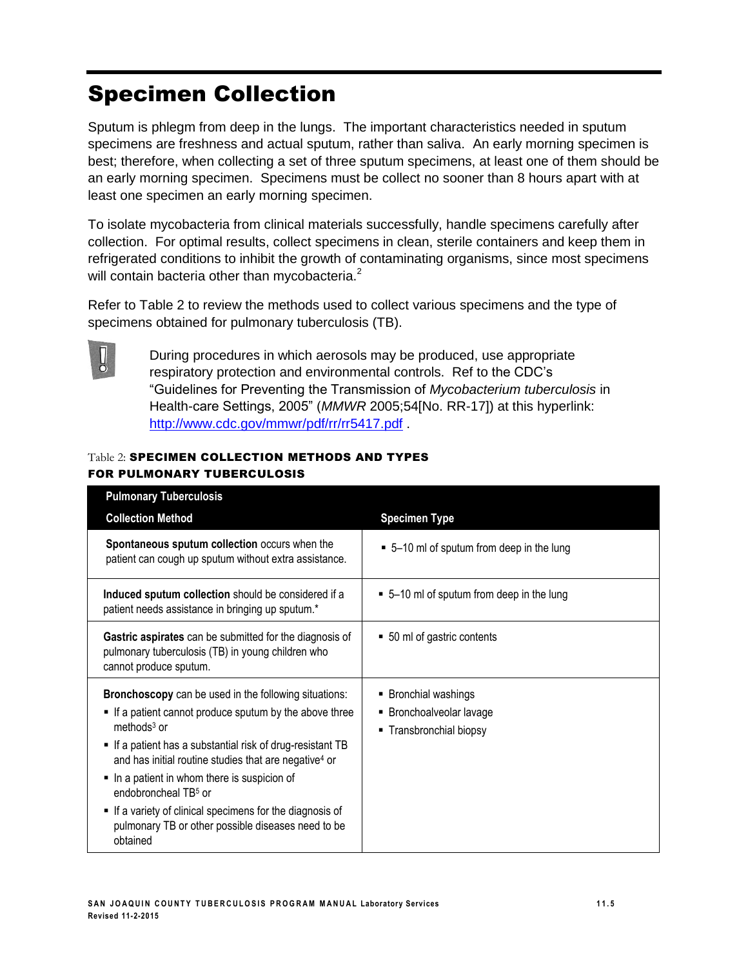# Specimen Collection

Sputum is phlegm from deep in the lungs. The important characteristics needed in sputum specimens are freshness and actual sputum, rather than saliva. An early morning specimen is best; therefore, when collecting a set of three sputum specimens, at least one of them should be an early morning specimen. Specimens must be collect no sooner than 8 hours apart with at least one specimen an early morning specimen.

To isolate mycobacteria from clinical materials successfully, handle specimens carefully after collection. For optimal results, collect specimens in clean, sterile containers and keep them in refrigerated conditions to inhibit the growth of contaminating organisms, since most specimens will contain bacteria other than mycobacteria.<sup>2</sup>

Refer to Table 2 to review the methods used to collect various specimens and the type of specimens obtained for pulmonary tuberculosis (TB).



During procedures in which aerosols may be produced, use appropriate respiratory protection and environmental controls. Ref to the CDC's "Guidelines for Preventing the Transmission of *Mycobacterium tuberculosis* in Health-care Settings, 2005" (*MMWR* 2005;54[No. RR-17]) at this hyperlink: <http://www.cdc.gov/mmwr/pdf/rr/rr5417.pdf> .

#### Table 2: SPECIMEN COLLECTION METHODS AND TYPES FOR PULMONARY TUBERCULOSIS

| <b>Pulmonary Tuberculosis</b>                                                                                                                                                                                                                                                                                                                                                                                                                                                             |                                                                             |
|-------------------------------------------------------------------------------------------------------------------------------------------------------------------------------------------------------------------------------------------------------------------------------------------------------------------------------------------------------------------------------------------------------------------------------------------------------------------------------------------|-----------------------------------------------------------------------------|
| <b>Collection Method</b>                                                                                                                                                                                                                                                                                                                                                                                                                                                                  | <b>Specimen Type</b>                                                        |
| Spontaneous sputum collection occurs when the<br>patient can cough up sputum without extra assistance.                                                                                                                                                                                                                                                                                                                                                                                    | • 5-10 ml of sputum from deep in the lung                                   |
| Induced sputum collection should be considered if a<br>patient needs assistance in bringing up sputum.*                                                                                                                                                                                                                                                                                                                                                                                   | $\bullet$ 5–10 ml of sputum from deep in the lung                           |
| Gastric aspirates can be submitted for the diagnosis of<br>pulmonary tuberculosis (TB) in young children who<br>cannot produce sputum.                                                                                                                                                                                                                                                                                                                                                    | • 50 ml of gastric contents                                                 |
| <b>Bronchoscopy</b> can be used in the following situations:<br>If a patient cannot produce sputum by the above three<br>methods $3$ or<br>If a patient has a substantial risk of drug-resistant TB<br>and has initial routine studies that are negative <sup>4</sup> or<br>In a patient in whom there is suspicion of<br>endobroncheal TB <sup>5</sup> or<br>■ If a variety of clinical specimens for the diagnosis of<br>pulmonary TB or other possible diseases need to be<br>obtained | ■ Bronchial washings<br>■ Bronchoalveolar lavage<br>■ Transbronchial biopsy |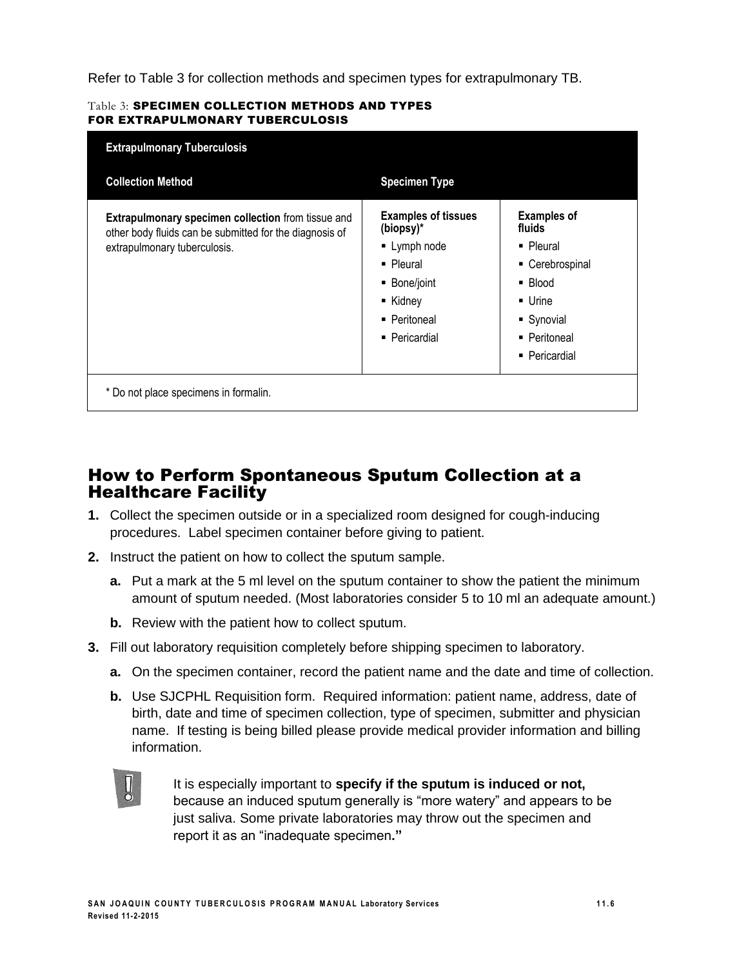Refer to Table 3 for collection methods and specimen types for extrapulmonary TB.

#### Table 3: SPECIMEN COLLECTION METHODS AND TYPES FOR EXTRAPULMONARY TUBERCULOSIS

| <b>Collection Method</b>                                                                                             | <b>Specimen Type</b>                    |                              |
|----------------------------------------------------------------------------------------------------------------------|-----------------------------------------|------------------------------|
| <b>Extrapulmonary specimen collection from tissue and</b><br>other body fluids can be submitted for the diagnosis of | <b>Examples of tissues</b><br>(biopsy)* | <b>Examples of</b><br>fluids |
| extrapulmonary tuberculosis.                                                                                         | • Lymph node                            | • Pleural                    |
|                                                                                                                      | • Pleural                               | • Cerebrospinal              |
|                                                                                                                      | ■ Bone/joint                            | ■ Blood                      |
|                                                                                                                      | ■ Kidney                                | • Urine                      |
|                                                                                                                      | ■ Peritoneal                            | ■ Synovial                   |
|                                                                                                                      | ■ Pericardial                           | • Peritoneal                 |
|                                                                                                                      |                                         | ■ Pericardial                |

### How to Perform Spontaneous Sputum Collection at a Healthcare Facility

- **1.** Collect the specimen outside or in a specialized room designed for cough-inducing procedures. Label specimen container before giving to patient.
- **2.** Instruct the patient on how to collect the sputum sample.
	- **a.** Put a mark at the 5 ml level on the sputum container to show the patient the minimum amount of sputum needed. (Most laboratories consider 5 to 10 ml an adequate amount.)
	- **b.** Review with the patient how to collect sputum.
- **3.** Fill out laboratory requisition completely before shipping specimen to laboratory.
	- **a.** On the specimen container, record the patient name and the date and time of collection.
	- **b.** Use SJCPHL Requisition form. Required information: patient name, address, date of birth, date and time of specimen collection, type of specimen, submitter and physician name. If testing is being billed please provide medical provider information and billing information.



It is especially important to **specify if the sputum is induced or not,** because an induced sputum generally is "more watery" and appears to be just saliva. Some private laboratories may throw out the specimen and report it as an "inadequate specimen**."**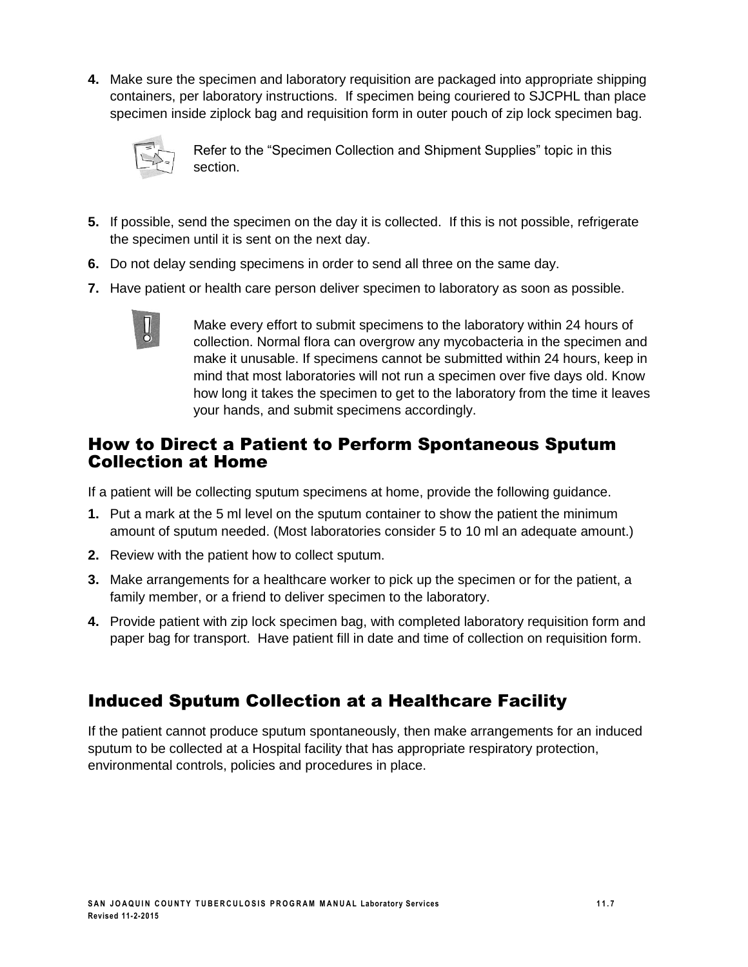**4.** Make sure the specimen and laboratory requisition are packaged into appropriate shipping containers, per laboratory instructions. If specimen being couriered to SJCPHL than place specimen inside ziplock bag and requisition form in outer pouch of zip lock specimen bag.



Refer to the "Specimen Collection and Shipment Supplies" topic in this section.

- **5.** If possible, send the specimen on the day it is collected. If this is not possible, refrigerate the specimen until it is sent on the next day.
- **6.** Do not delay sending specimens in order to send all three on the same day.
- **7.** Have patient or health care person deliver specimen to laboratory as soon as possible.



Make every effort to submit specimens to the laboratory within 24 hours of collection. Normal flora can overgrow any mycobacteria in the specimen and make it unusable. If specimens cannot be submitted within 24 hours, keep in mind that most laboratories will not run a specimen over five days old. Know how long it takes the specimen to get to the laboratory from the time it leaves your hands, and submit specimens accordingly.

### How to Direct a Patient to Perform Spontaneous Sputum Collection at Home

If a patient will be collecting sputum specimens at home, provide the following guidance.

- **1.** Put a mark at the 5 ml level on the sputum container to show the patient the minimum amount of sputum needed. (Most laboratories consider 5 to 10 ml an adequate amount.)
- **2.** Review with the patient how to collect sputum.
- **3.** Make arrangements for a healthcare worker to pick up the specimen or for the patient, a family member, or a friend to deliver specimen to the laboratory.
- **4.** Provide patient with zip lock specimen bag, with completed laboratory requisition form and paper bag for transport. Have patient fill in date and time of collection on requisition form.

### Induced Sputum Collection at a Healthcare Facility

If the patient cannot produce sputum spontaneously, then make arrangements for an induced sputum to be collected at a Hospital facility that has appropriate respiratory protection, environmental controls, policies and procedures in place.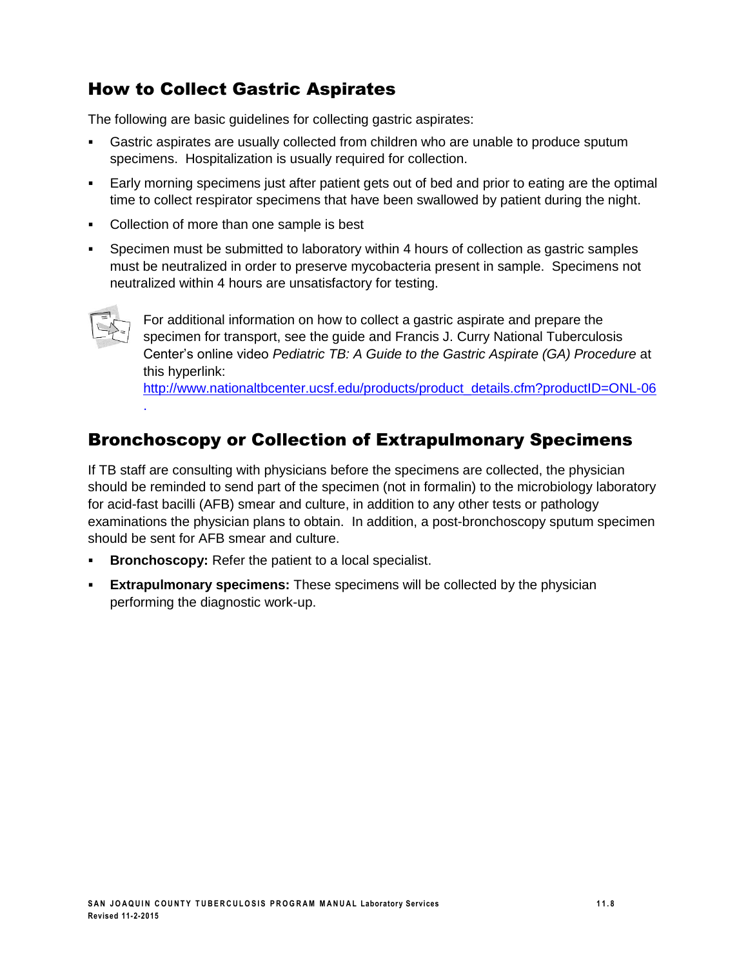## How to Collect Gastric Aspirates

The following are basic guidelines for collecting gastric aspirates:

- Gastric aspirates are usually collected from children who are unable to produce sputum specimens. Hospitalization is usually required for collection.
- Early morning specimens just after patient gets out of bed and prior to eating are the optimal time to collect respirator specimens that have been swallowed by patient during the night.
- Collection of more than one sample is best
- Specimen must be submitted to laboratory within 4 hours of collection as gastric samples must be neutralized in order to preserve mycobacteria present in sample. Specimens not neutralized within 4 hours are unsatisfactory for testing.



.

For additional information on how to collect a gastric aspirate and prepare the specimen for transport, see the guide and Francis J. Curry National Tuberculosis Center's online video *Pediatric TB: A Guide to the Gastric Aspirate (GA) Procedure* at this hyperlink:

[http://www.nationaltbcenter.ucsf.edu/products/product\\_details.cfm?productID=ONL-06](http://www.nationaltbcenter.ucsf.edu/products/product_details.cfm?productID=ONL-06)

### Bronchoscopy or Collection of Extrapulmonary Specimens

If TB staff are consulting with physicians before the specimens are collected, the physician should be reminded to send part of the specimen (not in formalin) to the microbiology laboratory for acid-fast bacilli (AFB) smear and culture, in addition to any other tests or pathology examinations the physician plans to obtain. In addition, a post-bronchoscopy sputum specimen should be sent for AFB smear and culture.

- **Bronchoscopy:** Refer the patient to a local specialist.
- **Extrapulmonary specimens:** These specimens will be collected by the physician performing the diagnostic work-up.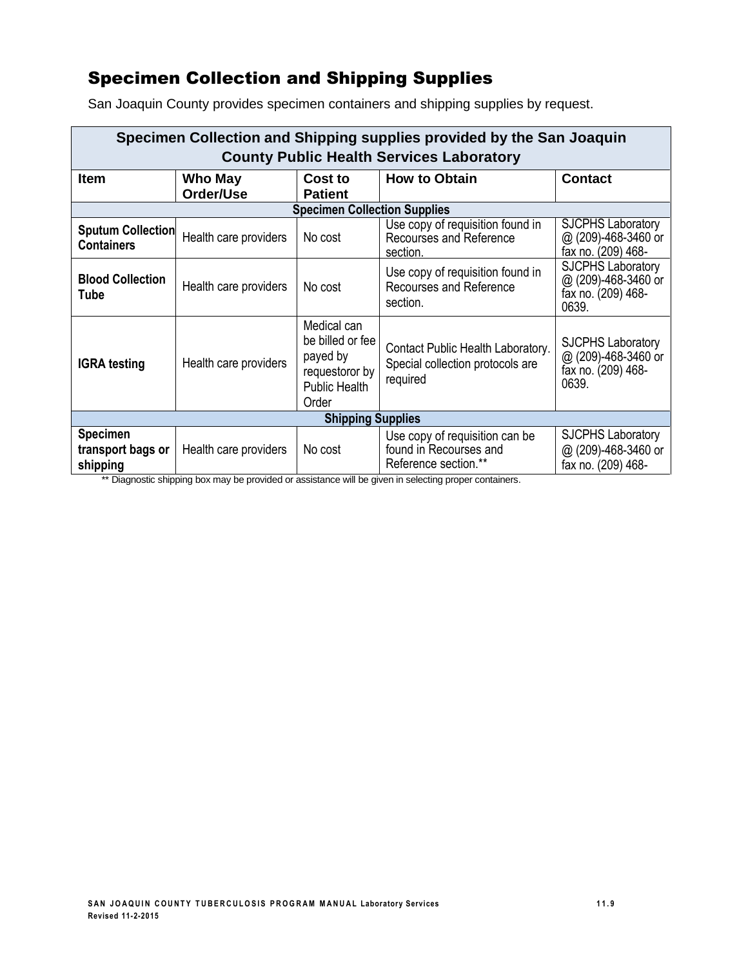## Specimen Collection and Shipping Supplies

| Specimen Collection and Shipping supplies provided by the San Joaquin |                       |                                                                                                |                                                                                   |                                                                                |
|-----------------------------------------------------------------------|-----------------------|------------------------------------------------------------------------------------------------|-----------------------------------------------------------------------------------|--------------------------------------------------------------------------------|
| <b>County Public Health Services Laboratory</b>                       |                       |                                                                                                |                                                                                   |                                                                                |
| <b>Item</b>                                                           | Who May               | Cost to                                                                                        | <b>How to Obtain</b>                                                              | <b>Contact</b>                                                                 |
|                                                                       | Order/Use             | <b>Patient</b>                                                                                 |                                                                                   |                                                                                |
|                                                                       |                       | <b>Specimen Collection Supplies</b>                                                            |                                                                                   |                                                                                |
| <b>Sputum Collection</b><br><b>Containers</b>                         | Health care providers | No cost                                                                                        | Use copy of requisition found in<br>Recourses and Reference<br>section.           | <b>SJCPHS Laboratory</b><br>@ (209)-468-3460 or<br>fax no. (209) 468-          |
| <b>Blood Collection</b><br>Tube                                       | Health care providers | No cost                                                                                        | Use copy of requisition found in<br>Recourses and Reference<br>section.           | <b>SJCPHS Laboratory</b><br>@ (209)-468-3460 or<br>fax no. (209) 468-<br>0639. |
| <b>IGRA</b> testing                                                   | Health care providers | Medical can<br>be billed or fee<br>payed by<br>requestoror by<br><b>Public Health</b><br>Order | Contact Public Health Laboratory.<br>Special collection protocols are<br>required | <b>SJCPHS Laboratory</b><br>@ (209)-468-3460 or<br>fax no. (209) 468-<br>0639. |
| <b>Shipping Supplies</b>                                              |                       |                                                                                                |                                                                                   |                                                                                |
| <b>Specimen</b><br>transport bags or<br>shipping                      | Health care providers | No cost                                                                                        | Use copy of requisition can be<br>found in Recourses and<br>Reference section.**  | <b>SJCPHS Laboratory</b><br>@ (209)-468-3460 or<br>fax no. (209) 468-          |

San Joaquin County provides specimen containers and shipping supplies by request.

\*\* Diagnostic shipping box may be provided or assistance will be given in selecting proper containers.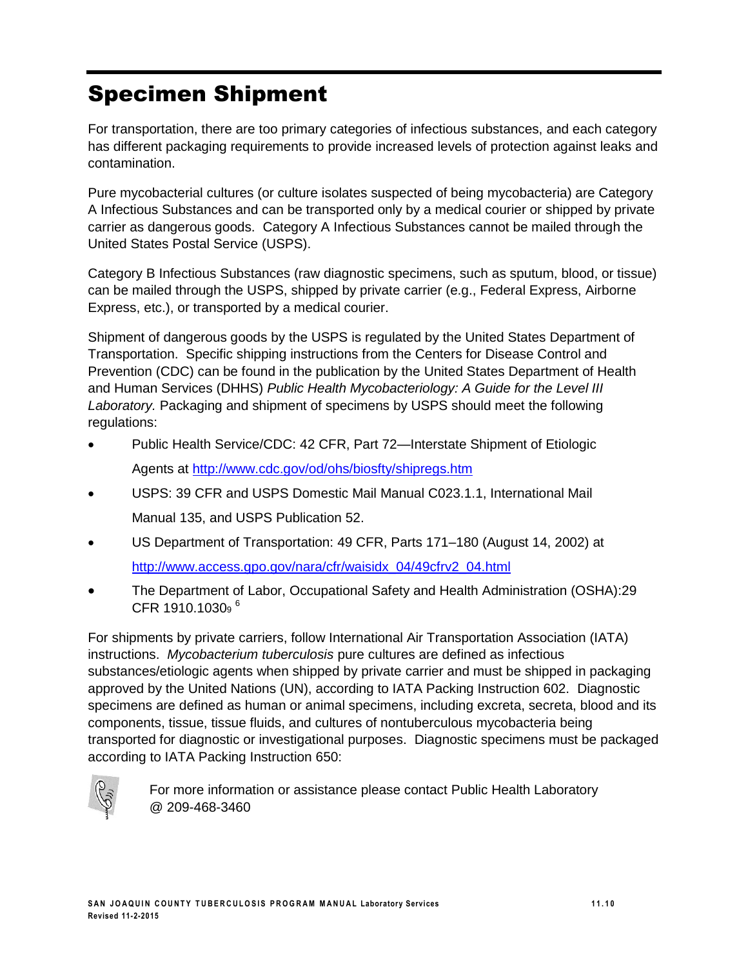# Specimen Shipment

For transportation, there are too primary categories of infectious substances, and each category has different packaging requirements to provide increased levels of protection against leaks and contamination.

Pure mycobacterial cultures (or culture isolates suspected of being mycobacteria) are Category A Infectious Substances and can be transported only by a medical courier or shipped by private carrier as dangerous goods. Category A Infectious Substances cannot be mailed through the United States Postal Service (USPS).

Category B Infectious Substances (raw diagnostic specimens, such as sputum, blood, or tissue) can be mailed through the USPS, shipped by private carrier (e.g., Federal Express, Airborne Express, etc.), or transported by a medical courier.

Shipment of dangerous goods by the USPS is regulated by the United States Department of Transportation. Specific shipping instructions from the Centers for Disease Control and Prevention (CDC) can be found in the publication by the United States Department of Health and Human Services (DHHS) *Public Health Mycobacteriology: A Guide for the Level III Laboratory.* Packaging and shipment of specimens by USPS should meet the following regulations:

- Public Health Service/CDC: 42 CFR, Part 72—Interstate Shipment of Etiologic Agents at<http://www.cdc.gov/od/ohs/biosfty/shipregs.htm>
- USPS: 39 CFR and USPS Domestic Mail Manual C023.1.1, International Mail Manual 135, and USPS Publication 52.
- US Department of Transportation: 49 CFR, Parts 171–180 (August 14, 2002) at [http://www.access.gpo.gov/nara/cfr/waisidx\\_04/49cfrv2\\_04.html](http://www.access.gpo.gov/nara/cfr/waisidx_04/49cfrv2_04.html)
- The Department of Labor, Occupational Safety and Health Administration (OSHA):29 CFR 1910.10309 <sup>6</sup>

For shipments by private carriers, follow International Air Transportation Association (IATA) instructions. *Mycobacterium tuberculosis* pure cultures are defined as infectious substances/etiologic agents when shipped by private carrier and must be shipped in packaging approved by the United Nations (UN), according to IATA Packing Instruction 602. Diagnostic specimens are defined as human or animal specimens, including excreta, secreta, blood and its components, tissue, tissue fluids, and cultures of nontuberculous mycobacteria being transported for diagnostic or investigational purposes. Diagnostic specimens must be packaged according to IATA Packing Instruction 650:



For more information or assistance please contact Public Health Laboratory @ 209-468-3460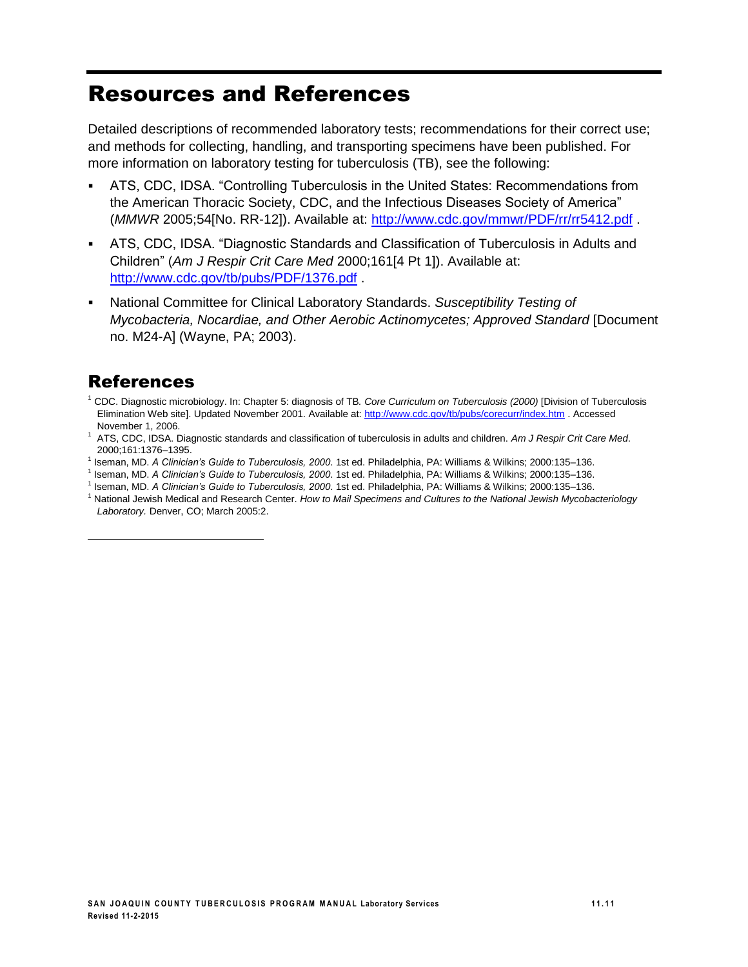## Resources and References

Detailed descriptions of recommended laboratory tests; recommendations for their correct use; and methods for collecting, handling, and transporting specimens have been published. For more information on laboratory testing for tuberculosis (TB), see the following:

- ATS, CDC, IDSA. "Controlling Tuberculosis in the United States: Recommendations from the American Thoracic Society, CDC, and the Infectious Diseases Society of America" (*MMWR* 2005;54[No. RR-12]). Available at:<http://www.cdc.gov/mmwr/PDF/rr/rr5412.pdf> .
- ATS, CDC, IDSA. "Diagnostic Standards and Classification of Tuberculosis in Adults and Children" (*Am J Respir Crit Care Med* 2000;161[4 Pt 1]). Available at: <http://www.cdc.gov/tb/pubs/PDF/1376.pdf> .
- National Committee for Clinical Laboratory Standards. *Susceptibility Testing of Mycobacteria, Nocardiae, and Other Aerobic Actinomycetes; Approved Standard* [Document no. M24-A] (Wayne, PA; 2003).

### References

 $\overline{a}$ 

- <sup>1</sup> CDC. Diagnostic microbiology. In: Chapter 5: diagnosis of TB*. Core Curriculum on Tuberculosis (2000)* [Division of Tuberculosis Elimination Web site]. Updated November 2001. Available at[: http://www.cdc.gov/tb/pubs/corecurr/index.htm](http://www.cdc.gov/tb/pubs/corecurr/index.htm) . Accessed November 1, 2006.
- <sup>1</sup> ATS, CDC, IDSA. Diagnostic standards and classification of tuberculosis in adults and children. *Am J Respir Crit Care Med*. 2000;161:1376–1395.
- 1 Iseman, MD. *A Clinician's Guide to Tuberculosis, 2000*. 1st ed. Philadelphia, PA: Williams & Wilkins; 2000:135–136.
- 1 Iseman, MD. *A Clinician's Guide to Tuberculosis, 2000*. 1st ed. Philadelphia, PA: Williams & Wilkins; 2000:135–136.
- 1 Iseman, MD. *A Clinician's Guide to Tuberculosis, 2000*. 1st ed. Philadelphia, PA: Williams & Wilkins; 2000:135–136. <sup>1</sup> National Jewish Medical and Research Center. *How to Mail Specimens and Cultures to the National Jewish Mycobacteriology*
- *Laboratory.* Denver, CO; March 2005:2.